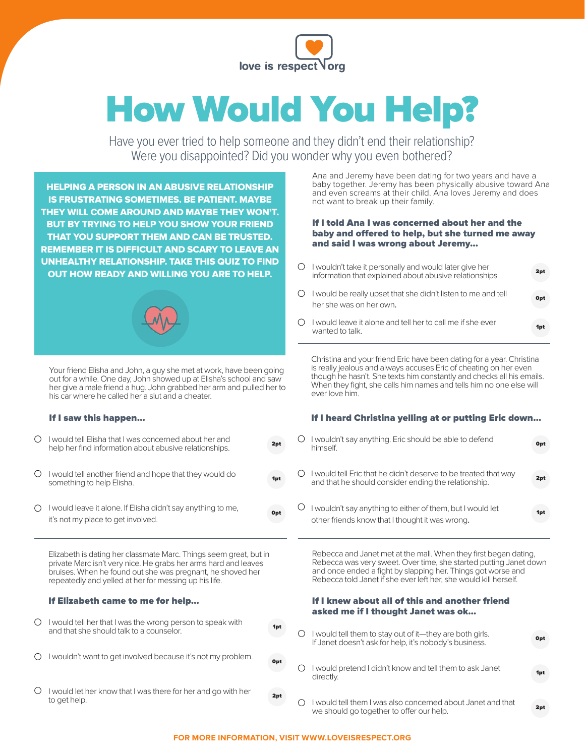

# How Would You Help?

Have you ever tried to help someone and they didn't end their relationship? Were you disappointed? Did you wonder why you even bothered?

HELPING A PERSON IN AN ABUSIVE RELATIONSHIP IS FRUSTRATING SOMETIMES. BE PATIENT. MAYBE THEY WILL COME AROUND AND MAYBE THEY WON'T. BUT BY TRYING TO HELP YOU SHOW YOUR FRIEND THAT YOU SUPPORT THEM AND CAN BE TRUSTED. REMEMBER IT IS DIFFICULT AND SCARY TO LEAVE AN UNHEALTHY RELATIONSHIP. TAKE THIS QUIZ TO FIND OUT HOW READY AND WILLING YOU ARE TO HELP.



Your friend Elisha and John, a guy she met at work, have been going out for a while. One day, John showed up at Elisha's school and saw her give a male friend a hug. John grabbed her arm and pulled her to his car where he called her a slut and a cheater.

#### If I saw this happen…

| I would tell Elisha that I was concerned about her and<br>help her find information about abusive relationships. | 2pt             |
|------------------------------------------------------------------------------------------------------------------|-----------------|
| I would tell another friend and hope that they would do<br>something to help Elisha.                             | 1 <sub>pt</sub> |
| I would leave it alone. If Elisha didn't say anything to me,<br>it's not my place to get involved.               | Opt             |

Elizabeth is dating her classmate Marc. Things seem great, but in private Marc isn't very nice. He grabs her arms hard and leaves bruises. When he found out she was pregnant, he shoved her repeatedly and yelled at her for messing up his life.

| If Elizabeth came to me for help |  |  |  |
|----------------------------------|--|--|--|
|----------------------------------|--|--|--|

| $\bigcirc$ I would tell her that I was the wrong person to speak with |  |
|-----------------------------------------------------------------------|--|
| and that she should talk to a counselor.                              |  |

- I wouldn't want to get involved because it's not my problem.
- O I would let her know that I was there for her and go with her to get help.  $\frac{1}{2pt}$  to get help.  $\frac{1}{2pt}$

Ana and Jeremy have been dating for two years and have a baby together. Jeremy has been physically abusive toward Ana and even screams at their child. Ana loves Jeremy and does not want to break up their family.

#### If I told Ana I was concerned about her and the baby and offered to help, but she turned me away and said I was wrong about Jeremy…

- $O$  I wouldn't take it personally and would later give her information that explained about abusive relationships I would be really upset that she didn't listen to me and tell her she was on her own. 0nt 2pt
- I would leave it alone and tell her to call me if she ever ◯ wanted to talk.

Christina and your friend Eric have been dating for a year. Christina is really jealous and always accuses Eric of cheating on her even though he hasn't. She texts him constantly and checks all his emails. When they fight, she calls him names and tells him no one else will ever love him.

#### If I heard Christina yelling at or putting Eric down…

- $O$  I wouldn't say anything. Eric should be able to defend 0pt himself. I would tell Eric that he didn't deserve to be treated that way ○ 2pt and that he should consider ending the relationship.
- $O$  I wouldn't say anything to either of them, but I would let The contract we have the friends know that I thought it was wrong.

Rebecca and Janet met at the mall. When they first began dating, Rebecca was very sweet. Over time, she started putting Janet down and once ended a fight by slapping her. Things got worse and Rebecca told Janet if she ever left her, she would kill herself.

#### If I knew about all of this and another friend asked me if I thought Janet was ok…

- $\circ$ I would tell them to stay out of it—they are both girls. 0pt If Janet doesn't ask for help, it's nobody's business. O I would pretend I didn't know and tell them to ask Janet 1pt directly.
	- $\circ$ I would tell them I was also concerned about Janet and that we should go together to offer our help.

0pt

1pt